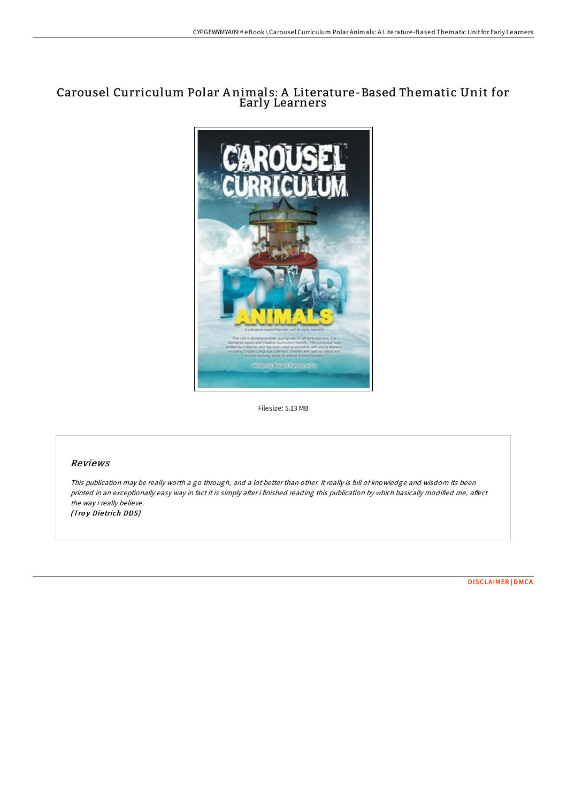# Carousel Curriculum Polar A nimals: A Literature-Based Thematic Unit for Early Learners



Filesize: 5.13 MB

## Reviews

This publication may be really worth <sup>a</sup> go through, and <sup>a</sup> lot better than other. It really is full of knowledge and wisdom Its been printed in an exceptionally easy way in fact it is simply after i finished reading this publication by which basically modified me, affect the way i really believe. (Troy Dietrich DDS)

[DISCLAIMER](http://almighty24.tech/disclaimer.html) | [DMCA](http://almighty24.tech/dmca.html)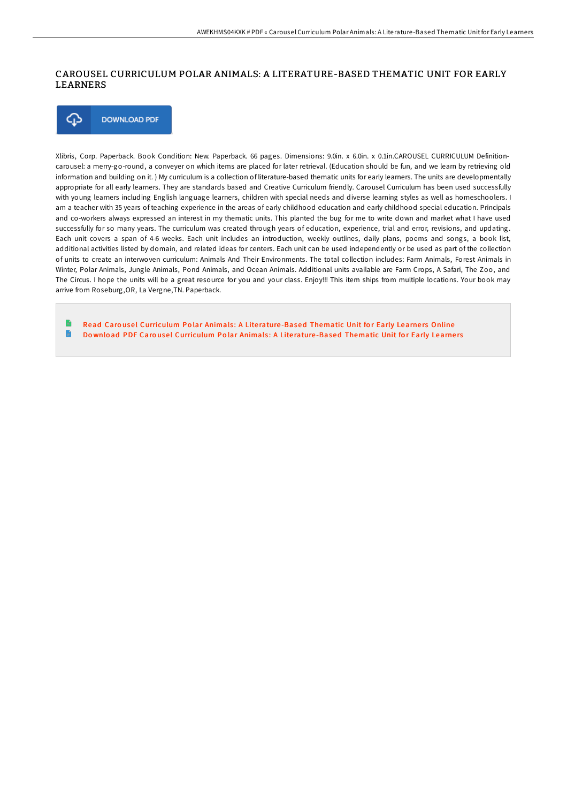## CAROUSEL CURRICULUM POLAR ANIMALS: A LITERATURE-BASED THEMATIC UNIT FOR EARLY LEARNERS



Xlibris, Corp. Paperback. Book Condition: New. Paperback. 66 pages. Dimensions: 9.0in. x 6.0in. x 0.1in.CAROUSEL CURRICULUM Definitioncarousel: a merry-go-round, a conveyer on which items are placed for later retrieval. (Education should be fun, and we learn by retrieving old information and building on it. ) My curriculum is a collection of literature-based thematic units for early learners. The units are developmentally appropriate for all early learners. They are standards based and Creative Curriculum friendly. Carousel Curriculum has been used successfully with young learners including English language learners, children with special needs and diverse learning styles as well as homeschoolers. I am a teacher with 35 years of teaching experience in the areas of early childhood education and early childhood special education. Principals and co-workers always expressed an interest in my thematic units. This planted the bug for me to write down and market what I have used successfully for so many years. The curriculum was created through years of education, experience, trial and error, revisions, and updating. Each unit covers a span of 4-6 weeks. Each unit includes an introduction, weekly outlines, daily plans, poems and songs, a book list, additional activities listed by domain, and related ideas for centers. Each unit can be used independently or be used as part of the collection of units to create an interwoven curriculum: Animals And Their Environments. The total collection includes: Farm Animals, Forest Animals in Winter, Polar Animals, Jungle Animals, Pond Animals, and Ocean Animals. Additional units available are Farm Crops, A Safari, The Zoo, and The Circus. I hope the units will be a great resource for you and your class. Enjoy!!! This item ships from multiple locations. Your book may arrive from Roseburg,OR, La Vergne,TN. Paperback.

Read Carousel [Curriculum](http://almighty24.tech/carousel-curriculum-polar-animals-a-literature-b.html) Polar Animals: A Literature-Based Thematic Unit for Early Learners Online R Download PDF Carousel [Curriculum](http://almighty24.tech/carousel-curriculum-polar-animals-a-literature-b.html) Polar Animals: A Literature-Based Thematic Unit for Early Learners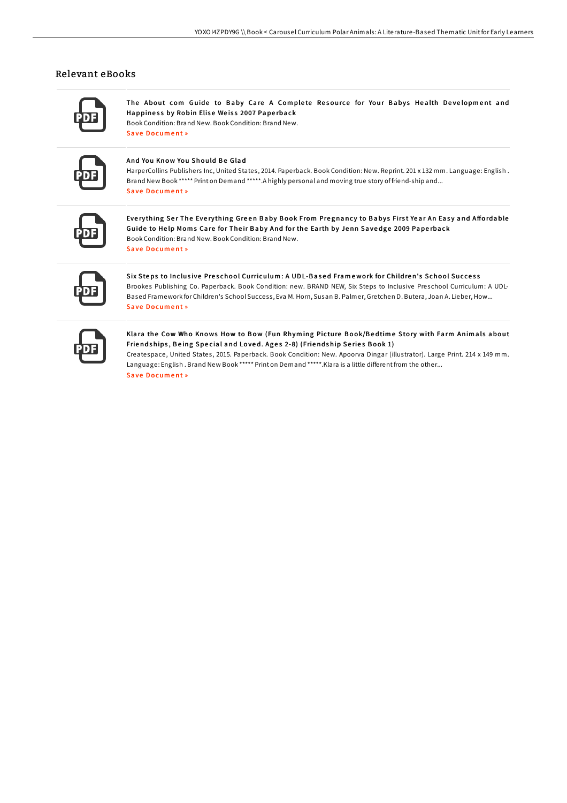### Relevant eBooks

The About com Guide to Baby Care A Complete Resource for Your Babys Health Development and Happiness by Robin Elise Weiss 2007 Paperback

Book Condition: Brand New. Book Condition: Brand New. Save Document »

### And You Know You Should Be Glad

HarperCollins Publishers Inc, United States, 2014. Paperback. Book Condition: New. Reprint. 201 x 132 mm. Language: English. Brand New Book \*\*\*\*\* Print on Demand \*\*\*\*\*. A highly personal and moving true story of friend-ship and... Save Document »

Everything Ser The Everything Green Baby Book From Pregnancy to Babys First Year An Easy and Affordable Guide to Help Moms Care for Their Baby And for the Earth by Jenn Savedge 2009 Paperback Book Condition: Brand New, Book Condition: Brand New, Save Document »

Six Steps to Inclusive Preschool Curriculum: A UDL-Based Framework for Children's School Success Brookes Publishing Co. Paperback. Book Condition: new. BRAND NEW, Six Steps to Inclusive Preschool Curriculum: A UDL-Based Framework for Children's School Success, Eva M. Horn, Susan B. Palmer, Gretchen D. Butera, Joan A. Lieber, How... **Save Document »** 

Klara the Cow Who Knows How to Bow (Fun Rhyming Picture Book/Bedtime Story with Farm Animals about Friendships, Being Special and Loved. Ages 2-8) (Friendship Series Book 1)

Createspace, United States, 2015. Paperback. Book Condition: New. Apoorva Dingar (illustrator). Large Print. 214 x 149 mm. Language: English. Brand New Book \*\*\*\*\* Print on Demand \*\*\*\*\*. Klara is a little different from the other... Save Document »